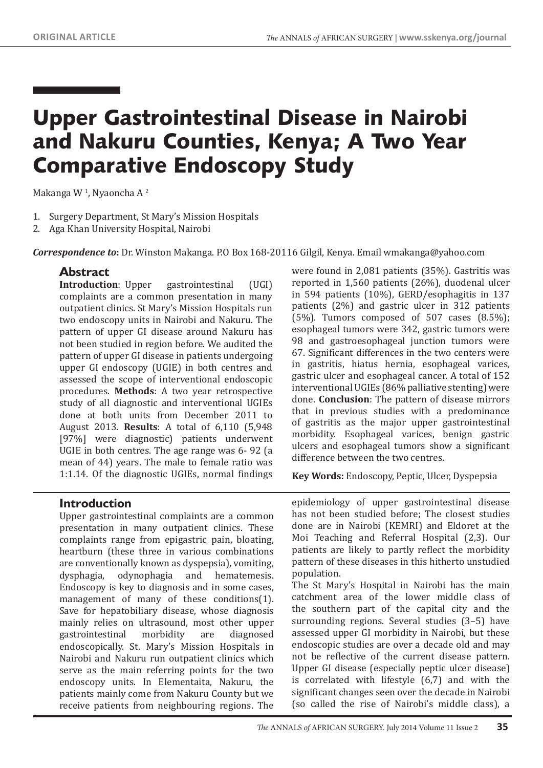# Upper Gastrointestinal Disease in Nairobi and Nakuru Counties, Kenya; A Two Year Comparative Endoscopy Study

Makanga W<sup>1</sup>, Nyaoncha A<sup>2</sup>

- 1. Surgery Department, St Mary's Mission Hospitals
- 2. Aga Khan University Hospital, Nairobi

*Correspondence to***:** Dr. Winston Makanga. P.O Box 168-20116 Gilgil, Kenya. Email wmakanga@yahoo.com

#### **Abstract**

**Introduction**: Upper gastrointestinal (UGI) complaints are a common presentation in many outpatient clinics. St Mary's Mission Hospitals run two endoscopy units in Nairobi and Nakuru. The pattern of upper GI disease around Nakuru has not been studied in region before. We audited the pattern of upper GI disease in patients undergoing upper GI endoscopy (UGIE) in both centres and assessed the scope of interventional endoscopic procedures. **Methods**: A two year retrospective study of all diagnostic and interventional UGIEs done at both units from December 2011 to August 2013. **Results**: A total of 6,110 (5,948 [97%] were diagnostic) patients underwent UGIE in both centres. The age range was 6- 92 (a mean of 44) years. The male to female ratio was 1:1.14. Of the diagnostic UGIEs, normal findings

were found in 2,081 patients (35%). Gastritis was reported in 1,560 patients (26%), duodenal ulcer in 594 patients (10%), GERD/esophagitis in 137 patients (2%) and gastric ulcer in 312 patients  $(5\%)$ . Tumors composed of 507 cases  $(8.5\%)$ ; esophageal tumors were 342, gastric tumors were 98 and gastroesophageal junction tumors were 67. Significant differences in the two centers were in gastritis, hiatus hernia, esophageal varices, gastric ulcer and esophageal cancer. A total of 152 interventional UGIEs (86% palliative stenting) were done. **Conclusion**: The pattern of disease mirrors that in previous studies with a predominance of gastritis as the major upper gastrointestinal morbidity. Esophageal varices, benign gastric ulcers and esophageal tumors show a significant difference between the two centres.

**Key Words:** Endoscopy, Peptic, Ulcer, Dyspepsia

#### **Introduction**

Upper gastrointestinal complaints are a common presentation in many outpatient clinics. These complaints range from epigastric pain, bloating, heartburn (these three in various combinations are conventionally known as dyspepsia), vomiting,<br>dysphagia, odynophagia and hematemesis. odynophagia Endoscopy is key to diagnosis and in some cases, management of many of these conditions(1). Save for hepatobiliary disease, whose diagnosis mainly relies on ultrasound, most other upper<br>gastrointestinal morbidity are diagnosed gastrointestinal endoscopically. St. Mary's Mission Hospitals in Nairobi and Nakuru run outpatient clinics which serve as the main referring points for the two endoscopy units. In Elementaita, Nakuru, the patients mainly come from Nakuru County but we receive patients from neighbouring regions. The

epidemiology of upper gastrointestinal disease has not been studied before; The closest studies done are in Nairobi (KEMRI) and Eldoret at the Moi Teaching and Referral Hospital (2,3). Our patients are likely to partly reflect the morbidity pattern of these diseases in this hitherto unstudied population.

The St Mary's Hospital in Nairobi has the main catchment area of the lower middle class of the southern part of the capital city and the surrounding regions. Several studies (3–5) have assessed upper GI morbidity in Nairobi, but these endoscopic studies are over a decade old and may not be reflective of the current disease pattern. Upper GI disease (especially peptic ulcer disease) is correlated with lifestyle (6,7) and with the significant changes seen over the decade in Nairobi (so called the rise of Nairobi's middle class), a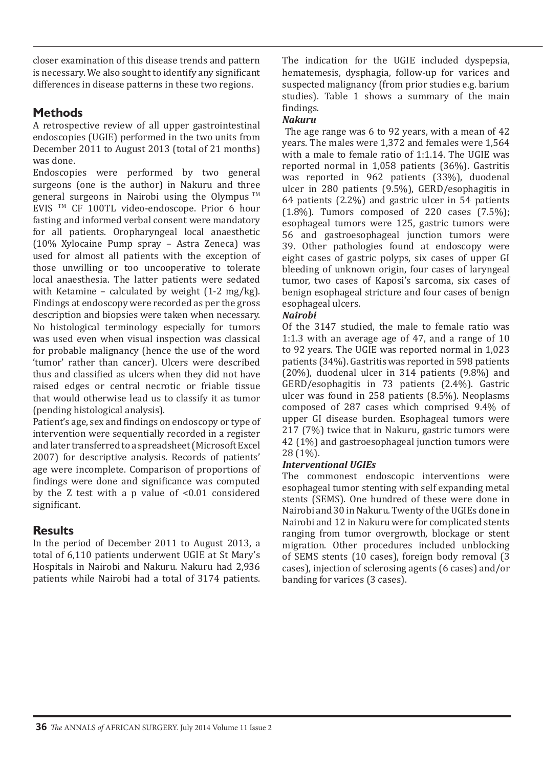closer examination of this disease trends and pattern is necessary. We also sought to identify any significant differences in disease patterns in these two regions.

# **Methods**

A retrospective review of all upper gastrointestinal endoscopies (UGIE) performed in the two units from December 2011 to August 2013 (total of 21 months) was done.

Endoscopies were performed by two general surgeons (one is the author) in Nakuru and three general surgeons in Nairobi using the Olympus TM EVIS TM CF 100TL video-endoscope. Prior 6 hour fasting and informed verbal consent were mandatory for all patients. Oropharyngeal local anaesthetic (10% Xylocaine Pump spray – Astra Zeneca) was used for almost all patients with the exception of those unwilling or too uncooperative to tolerate local anaesthesia. The latter patients were sedated with Ketamine – calculated by weight (1-2 mg/kg). Findings at endoscopy were recorded as per the gross description and biopsies were taken when necessary. No histological terminology especially for tumors was used even when visual inspection was classical for probable malignancy (hence the use of the word 'tumor' rather than cancer). Ulcers were described thus and classified as ulcers when they did not have raised edges or central necrotic or friable tissue that would otherwise lead us to classify it as tumor (pending histological analysis).

Patient's age, sex and findings on endoscopy or type of intervention were sequentially recorded in a register and later transferred to a spreadsheet (Microsoft Excel 2007) for descriptive analysis. Records of patients' age were incomplete. Comparison of proportions of findings were done and significance was computed by the Z test with a p value of <0.01 considered significant.

# **Results**

In the period of December 2011 to August 2013, a total of 6,110 patients underwent UGIE at St Mary's Hospitals in Nairobi and Nakuru. Nakuru had 2,936 patients while Nairobi had a total of 3174 patients. The indication for the UGIE included dyspepsia, hematemesis, dysphagia, follow-up for varices and suspected malignancy (from prior studies e.g. barium studies). Table 1 shows a summary of the main findings.

#### *Nakuru*

 The age range was 6 to 92 years, with a mean of 42 years. The males were 1,372 and females were 1,564 with a male to female ratio of 1:1.14. The UGIE was reported normal in 1,058 patients (36%). Gastritis was reported in 962 patients (33%), duodenal ulcer in 280 patients (9.5%), GERD/esophagitis in 64 patients (2.2%) and gastric ulcer in 54 patients  $(1.8\%)$ . Tumors composed of 220 cases  $(7.5\%)$ ; esophageal tumors were 125, gastric tumors were 56 and gastroesophageal junction tumors were 39. Other pathologies found at endoscopy were eight cases of gastric polyps, six cases of upper GI bleeding of unknown origin, four cases of laryngeal tumor, two cases of Kaposi's sarcoma, six cases of benign esophageal stricture and four cases of benign esophageal ulcers.

#### *Nairobi*

Of the 3147 studied, the male to female ratio was 1:1.3 with an average age of 47, and a range of 10 to 92 years. The UGIE was reported normal in 1,023 patients (34%). Gastritis was reported in 598 patients (20%), duodenal ulcer in 314 patients (9.8%) and GERD/esophagitis in 73 patients (2.4%). Gastric ulcer was found in 258 patients (8.5%). Neoplasms composed of 287 cases which comprised 9.4% of upper GI disease burden. Esophageal tumors were 217 (7%) twice that in Nakuru, gastric tumors were 42 (1%) and gastroesophageal junction tumors were 28 (1%).

# *Interventional UGIEs*

The commonest endoscopic interventions were esophageal tumor stenting with self expanding metal stents (SEMS). One hundred of these were done in Nairobi and 30 in Nakuru. Twenty of the UGIEs done in Nairobi and 12 in Nakuru were for complicated stents ranging from tumor overgrowth, blockage or stent migration. Other procedures included unblocking of SEMS stents (10 cases), foreign body removal (3 cases), injection of sclerosing agents (6 cases) and/or banding for varices (3 cases).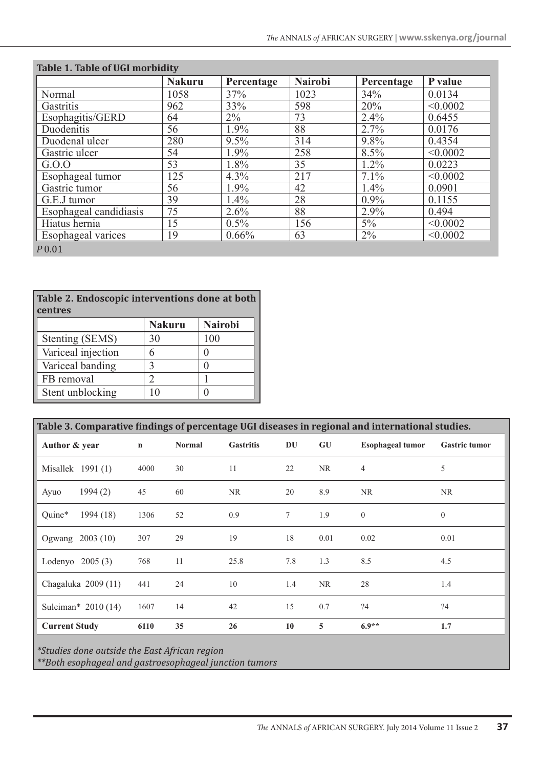| <b>Table 1. Table of UGI morbidity</b> |               |            |                |            |          |  |  |
|----------------------------------------|---------------|------------|----------------|------------|----------|--|--|
|                                        | <b>Nakuru</b> | Percentage | <b>Nairobi</b> | Percentage | P value  |  |  |
| Normal                                 | 1058          | 37%        | 1023           | 34%        | 0.0134   |  |  |
| Gastritis                              | 962           | 33%        | 598            | 20%        | < 0.0002 |  |  |
| Esophagitis/GERD                       | 64            | $2\%$      | 73             | 2.4%       | 0.6455   |  |  |
| Duodenitis                             | 56            | 1.9%       | 88             | 2.7%       | 0.0176   |  |  |
| Duodenal ulcer                         | 280           | 9.5%       | 314            | 9.8%       | 0.4354   |  |  |
| Gastric ulcer                          | 54            | 1.9%       | 258            | 8.5%       | < 0.0002 |  |  |
| G.0.0                                  | 53            | 1.8%       | 35             | 1.2%       | 0.0223   |  |  |
| Esophageal tumor                       | 125           | 4.3%       | 217            | 7.1%       | < 0.0002 |  |  |
| Gastric tumor                          | 56            | 1.9%       | 42             | 1.4%       | 0.0901   |  |  |
| G.E.J tumor                            | 39            | 1.4%       | 28             | $0.9\%$    | 0.1155   |  |  |
| Esophageal candidiasis                 | 75            | 2.6%       | 88             | 2.9%       | 0.494    |  |  |
| Hiatus hernia                          | 15            | $0.5\%$    | 156            | $5\%$      | < 0.0002 |  |  |
| <b>Esophageal varices</b>              | 19            | 0.66%      | 63             | $2\%$      | < 0.0002 |  |  |
| $P$ 0.01                               |               |            |                |            |          |  |  |

| Table 2. Endoscopic interventions done at both<br>centres |                |                |  |  |  |  |  |
|-----------------------------------------------------------|----------------|----------------|--|--|--|--|--|
|                                                           | <b>Nakuru</b>  | <b>Nairobi</b> |  |  |  |  |  |
| Stenting (SEMS)                                           | 30             | 100            |  |  |  |  |  |
| Variceal injection                                        | 6              |                |  |  |  |  |  |
| Variceal banding                                          | 3              |                |  |  |  |  |  |
| FB removal                                                | $\mathfrak{D}$ |                |  |  |  |  |  |
| Stent unblocking                                          | 10             |                |  |  |  |  |  |

| Table 3. Comparative findings of percentage UGI diseases in regional and international studies. |                     |             |               |                  |        |           |                         |                      |
|-------------------------------------------------------------------------------------------------|---------------------|-------------|---------------|------------------|--------|-----------|-------------------------|----------------------|
| Author & year                                                                                   |                     | $\mathbf n$ | <b>Normal</b> | <b>Gastritis</b> | DU     | GU        | <b>Esophageal tumor</b> | <b>Gastric tumor</b> |
|                                                                                                 | Misallek 1991 (1)   | 4000        | 30            | 11               | 22     | NR.       | 4                       | 5                    |
| Ayuo                                                                                            | 1994(2)             | 45          | 60            | <b>NR</b>        | 20     | 8.9       | NR.                     | <b>NR</b>            |
| Quine*                                                                                          | 1994 (18)           | 1306        | 52            | 0.9              | $\tau$ | 1.9       | $\overline{0}$          | $\mathbf{0}$         |
| Ogwang                                                                                          | 2003(10)            | 307         | 29            | 19               | 18     | 0.01      | 0.02                    | 0.01                 |
|                                                                                                 | Lodenyo $2005(3)$   | 768         | 11            | 25.8             | 7.8    | 1.3       | 8.5                     | 4.5                  |
|                                                                                                 | Chagaluka 2009 (11) | 441         | 24            | 10               | 1.4    | <b>NR</b> | 28                      | 1.4                  |
|                                                                                                 | Suleiman* 2010 (14) | 1607        | 14            | 42               | 15     | 0.7       | ?4                      | ?4                   |
| <b>Current Study</b>                                                                            |                     | 6110        | 35            | 26               | 10     | 5         | $6.9**$                 | 1.7                  |

*\*Studies done outside the East African region*

*\*\*Both esophageal and gastroesophageal junction tumors*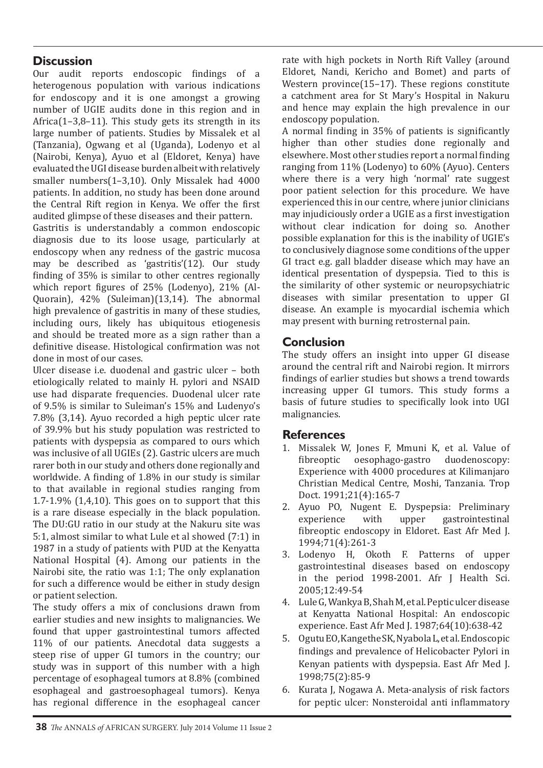# **Discussion**

Our audit reports endoscopic findings of a heterogenous population with various indications for endoscopy and it is one amongst a growing number of UGIE audits done in this region and in Africa(1–3,8–11). This study gets its strength in its large number of patients. Studies by Missalek et al (Tanzania), Ogwang et al (Uganda), Lodenyo et al (Nairobi, Kenya), Ayuo et al (Eldoret, Kenya) have evaluated the UGI disease burden albeit with relatively smaller numbers(1–3,10). Only Missalek had 4000 patients. In addition, no study has been done around the Central Rift region in Kenya. We offer the first audited glimpse of these diseases and their pattern.

Gastritis is understandably a common endoscopic diagnosis due to its loose usage, particularly at endoscopy when any redness of the gastric mucosa may be described as 'gastritis'(12). Our study finding of 35% is similar to other centres regionally which report figures of 25% (Lodenyo), 21% (Al-Quorain), 42% (Suleiman)(13,14). The abnormal high prevalence of gastritis in many of these studies, including ours, likely has ubiquitous etiogenesis and should be treated more as a sign rather than a definitive disease. Histological confirmation was not done in most of our cases.

Ulcer disease i.e. duodenal and gastric ulcer – both etiologically related to mainly H. pylori and NSAID use had disparate frequencies. Duodenal ulcer rate of 9.5% is similar to Suleiman's 15% and Ludenyo's 7.8% (3,14). Ayuo recorded a high peptic ulcer rate of 39.9% but his study population was restricted to patients with dyspepsia as compared to ours which was inclusive of all UGIEs (2). Gastric ulcers are much rarer both in our study and others done regionally and worldwide. A finding of 1.8% in our study is similar to that available in regional studies ranging from 1.7-1.9% (1,4,10). This goes on to support that this is a rare disease especially in the black population. The DU:GU ratio in our study at the Nakuru site was 5:1, almost similar to what Lule et al showed (7:1) in 1987 in a study of patients with PUD at the Kenyatta National Hospital (4). Among our patients in the Nairobi site, the ratio was 1:1; The only explanation for such a difference would be either in study design or patient selection.

The study offers a mix of conclusions drawn from earlier studies and new insights to malignancies. We found that upper gastrointestinal tumors affected 11% of our patients. Anecdotal data suggests a steep rise of upper GI tumors in the country; our study was in support of this number with a high percentage of esophageal tumors at 8.8% (combined esophageal and gastroesophageal tumors). Kenya has regional difference in the esophageal cancer rate with high pockets in North Rift Valley (around Eldoret, Nandi, Kericho and Bomet) and parts of Western province(15–17). These regions constitute a catchment area for St Mary's Hospital in Nakuru and hence may explain the high prevalence in our endoscopy population.

A normal finding in 35% of patients is significantly higher than other studies done regionally and elsewhere. Most other studies report a normal finding ranging from 11% (Lodenyo) to 60% (Ayuo). Centers where there is a very high 'normal' rate suggest poor patient selection for this procedure. We have experienced this in our centre, where junior clinicians may injudiciously order a UGIE as a first investigation without clear indication for doing so. Another possible explanation for this is the inability of UGIE's to conclusively diagnose some conditions of the upper GI tract e.g. gall bladder disease which may have an identical presentation of dyspepsia. Tied to this is the similarity of other systemic or neuropsychiatric diseases with similar presentation to upper GI disease. An example is myocardial ischemia which may present with burning retrosternal pain.

# **Conclusion**

The study offers an insight into upper GI disease around the central rift and Nairobi region. It mirrors findings of earlier studies but shows a trend towards increasing upper GI tumors. This study forms a basis of future studies to specifically look into UGI malignancies.

#### **References**

- 1. Missalek W, Jones F, Mmuni K, et al. Value of fibreoptic oesophago-gastro duodenoscopy: Experience with 4000 procedures at Kilimanjaro Christian Medical Centre, Moshi, Tanzania. Trop Doct. 1991;21(4):165-7
- 2. Ayuo PO, Nugent E. Dyspepsia: Preliminary<br>experience with upper gastrointestinal experience with upper gastrointestinal fibreoptic endoscopy in Eldoret. East Afr Med J. 1994;71(4):261-3
- 3. Lodenyo H, Okoth F. Patterns of upper gastrointestinal diseases based on endoscopy in the period 1998-2001. Afr J Health Sci. 2005;12:49-54
- 4. Lule G, Wankya B, Shah M, et al. Peptic ulcer disease at Kenyatta National Hospital: An endoscopic experience. East Afr Med J. 1987;64(10):638-42
- 5. Ogutu EO, Kangethe SK, Nyabola L, et al. Endoscopic findings and prevalence of Helicobacter Pylori in Kenyan patients with dyspepsia. East Afr Med J. 1998;75(2):85-9
- 6. Kurata J, Nogawa A. Meta-analysis of risk factors for peptic ulcer: Nonsteroidal anti inflammatory